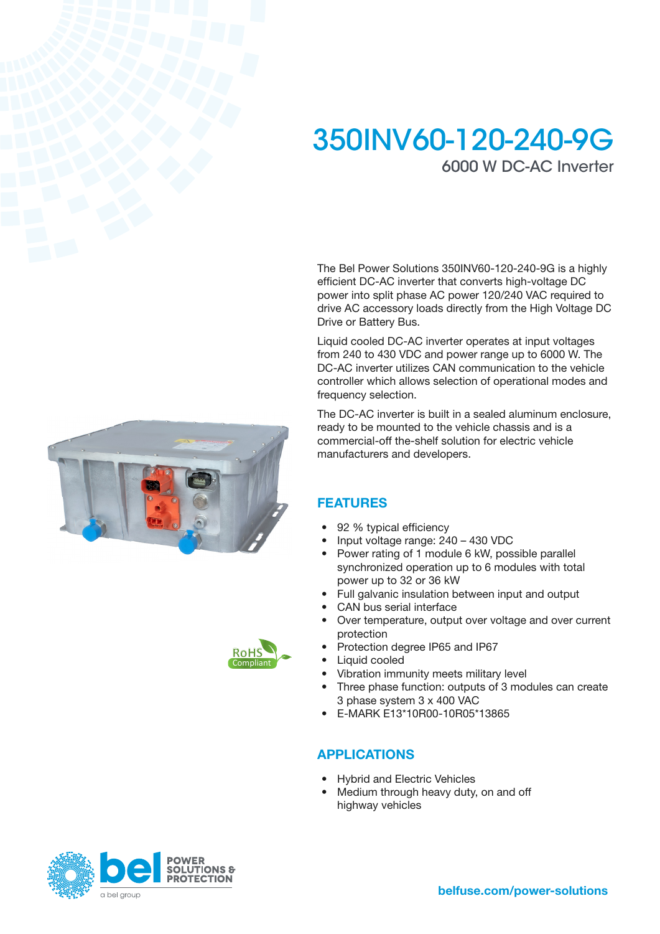# 350INV60-120-240-9G 6000 W DC-AC Inverter

The Bel Power Solutions 350INV60-120-240-9G is a highly efficient DC-AC inverter that converts high-voltage DC power into split phase AC power 120/240 VAC required to drive AC accessory loads directly from the High Voltage DC Drive or Battery Bus.

Liquid cooled DC-AC inverter operates at input voltages from 240 to 430 VDC and power range up to 6000 W. The DC-AC inverter utilizes CAN communication to the vehicle controller which allows selection of operational modes and frequency selection.

The DC-AC inverter is built in a sealed aluminum enclosure, ready to be mounted to the vehicle chassis and is a commercial-off the-shelf solution for electric vehicle manufacturers and developers.

### FEATURES

- 92 % typical efficiency
- Input voltage range: 240 430 VDC
- Power rating of 1 module 6 kW, possible parallel synchronized operation up to 6 modules with total power up to 32 or 36 kW
- Full galvanic insulation between input and output
- CAN bus serial interface
- Over temperature, output over voltage and over current protection
- Protection degree IP65 and IP67
- Liquid cooled
- Vibration immunity meets military level
- Three phase function: outputs of 3 modules can create 3 phase system 3 x 400 VAC
- E-MARK E13\*10R00-10R05\*13865

### APPLICATIONS

- Hybrid and Electric Vehicles
- Medium through heavy duty, on and off highway vehicles





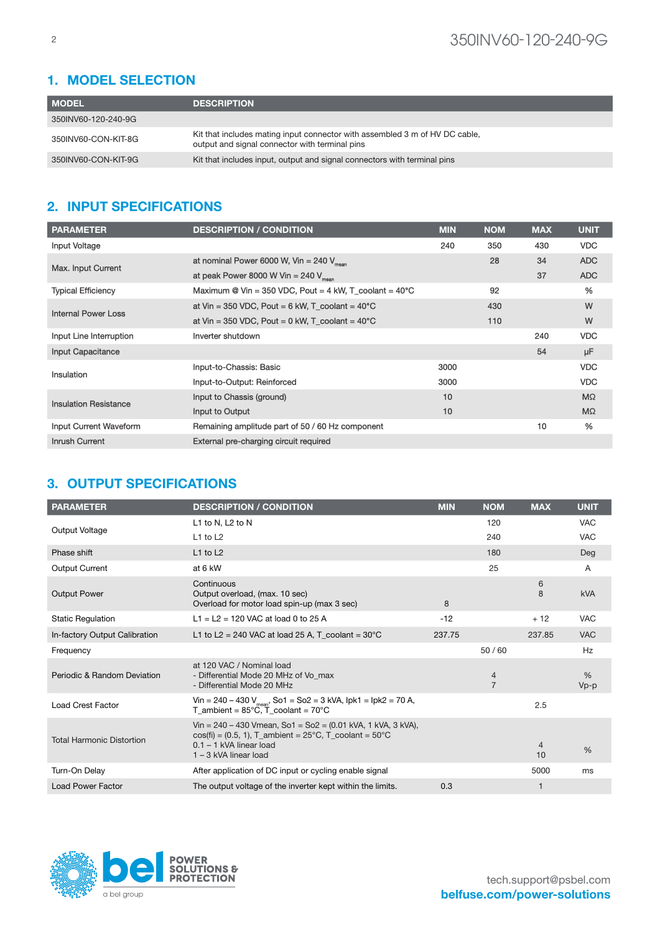# 1. MODEL SELECTION

| <b>MODEL</b>        | <b>DESCRIPTION</b>                                                                                                            |
|---------------------|-------------------------------------------------------------------------------------------------------------------------------|
| 350INV60-120-240-9G |                                                                                                                               |
| 350INV60-CON-KIT-8G | Kit that includes mating input connector with assembled 3 m of HV DC cable,<br>output and signal connector with terminal pins |
| 350INV60-CON-KIT-9G | Kit that includes input, output and signal connectors with terminal pins                                                      |

## 2. INPUT SPECIFICATIONS

| <b>PARAMETER</b>              | <b>DESCRIPTION / CONDITION</b>                                   | <b>MIN</b> | <b>NOM</b> | <b>MAX</b> | <b>UNIT</b> |
|-------------------------------|------------------------------------------------------------------|------------|------------|------------|-------------|
| <b>Input Voltage</b>          |                                                                  | 240        | 350        | 430        | <b>VDC</b>  |
|                               | at nominal Power 6000 W, Vin = 240 $V_{mean}$                    |            | 28         | 34         | <b>ADC</b>  |
| <b>Max. Input Current</b>     | at peak Power 8000 W Vin = 240 $V_{mean}$                        |            |            | 37         | <b>ADC</b>  |
| <b>Typical Efficiency</b>     | Maximum @ Vin = 350 VDC, Pout = 4 kW, T_coolant = $40^{\circ}$ C |            | 92         |            | %           |
| <b>Internal Power Loss</b>    | at Vin = 350 VDC, Pout = $6$ kW, T_coolant = $40^{\circ}$ C      |            | 430        |            | W           |
|                               | at Vin = 350 VDC, Pout = $0$ kW, T coolant = $40^{\circ}$ C      |            | 110        |            | W           |
| Input Line Interruption       | Inverter shutdown                                                |            |            | 240        | <b>VDC</b>  |
| <b>Input Capacitance</b>      |                                                                  |            |            | 54         | μF          |
| Insulation                    | Input-to-Chassis: Basic                                          | 3000       |            |            | <b>VDC</b>  |
|                               | Input-to-Output: Reinforced                                      | 3000       |            |            | <b>VDC</b>  |
| <b>Insulation Resistance</b>  | Input to Chassis (ground)                                        | 10         |            |            | $M\Omega$   |
|                               | Input to Output                                                  | 10         |            |            | $M\Omega$   |
| <b>Input Current Waveform</b> | Remaining amplitude part of 50 / 60 Hz component                 |            |            | 10         | %           |
| <b>Inrush Current</b>         | <b>External pre-charging circuit required</b>                    |            |            |            |             |

### 3. OUTPUT SPECIFICATIONS

| <b>PARAMETER</b>                 | <b>DESCRIPTION / CONDITION</b>                                                                                                                                                      | <b>MIN</b> | <b>NOM</b>                       | <b>MAX</b>  | <b>UNIT</b>    |
|----------------------------------|-------------------------------------------------------------------------------------------------------------------------------------------------------------------------------------|------------|----------------------------------|-------------|----------------|
|                                  | L1 to N, L2 to N                                                                                                                                                                    |            | 120                              |             | <b>VAC</b>     |
| Output Voltage                   | $L1$ to $L2$                                                                                                                                                                        |            | 240                              |             | <b>VAC</b>     |
| Phase shift                      | $L1$ to $L2$                                                                                                                                                                        |            | 180                              |             | Deg            |
| <b>Output Current</b>            | at 6 kW                                                                                                                                                                             |            | 25                               |             | A              |
| <b>Output Power</b>              | Continuous<br>Output overload, (max. 10 sec)<br>Overload for motor load spin-up (max 3 sec)                                                                                         | 8          |                                  | 6<br>8      | <b>kVA</b>     |
| <b>Static Regulation</b>         | L1 = L2 = 120 VAC at load 0 to 25 A                                                                                                                                                 | $-12$      |                                  | $+12$       | <b>VAC</b>     |
| In-factory Output Calibration    | L1 to L2 = 240 VAC at load 25 A, T_coolant = $30^{\circ}$ C                                                                                                                         | 237.75     |                                  | 237.85      | <b>VAC</b>     |
| Frequency                        |                                                                                                                                                                                     |            | 50/60                            |             | Hz             |
| Periodic & Random Deviation      | at 120 VAC / Nominal load<br>- Differential Mode 20 MHz of Vo max<br>- Differential Mode 20 MHz                                                                                     |            | $\overline{4}$<br>$\overline{7}$ |             | $\%$<br>$Vp-p$ |
| <b>Load Crest Factor</b>         | Vin = $240 - 430$ V <sub>mean</sub> , So1 = So2 = 3 kVA, lpk1 = lpk2 = 70 A,<br>T ambient = $85^{\circ}$ C. T coolant = $70^{\circ}$ C                                              |            |                                  | 2.5         |                |
| <b>Total Harmonic Distortion</b> | Vin = $240 - 430$ Vmean, So1 = So2 = $(0.01$ kVA, 1 kVA, 3 kVA),<br>$cos(fi) = (0.5, 1)$ , T_ambient = 25°C, T_coolant = 50°C<br>$0.1 - 1$ kVA linear load<br>1 - 3 kVA linear load |            |                                  | 4<br>10     | $\%$           |
| Turn-On Delay                    | After application of DC input or cycling enable signal                                                                                                                              |            |                                  | 5000        | ms             |
| <b>Load Power Factor</b>         | The output voltage of the inverter kept within the limits.                                                                                                                          | 0.3        |                                  | $\mathbf 1$ |                |

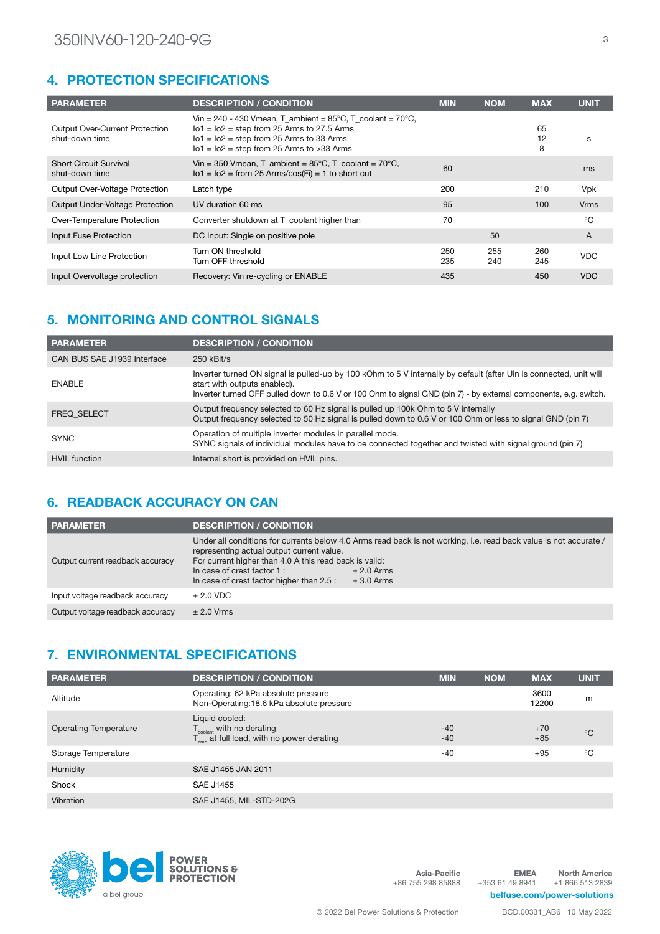### 4. PROTECTION SPECIFICATIONS

| <b>PARAMETER</b>                                        | <b>DESCRIPTION / CONDITION</b>                                                                                                                                                                                              | <b>MIN</b> | <b>NOM</b> | <b>MAX</b>    | <b>UNIT</b>    |
|---------------------------------------------------------|-----------------------------------------------------------------------------------------------------------------------------------------------------------------------------------------------------------------------------|------------|------------|---------------|----------------|
| <b>Output Over-Current Protection</b><br>shut-down time | Vin = 240 - 430 Vmean, T_ambient = $85^{\circ}$ C, T_coolant = $70^{\circ}$ C,<br>$101 = 102$ = step from 25 Arms to 27.5 Arms<br>$101 = 102$ = step from 25 Arms to 33 Arms<br>$101 = 102$ = step from 25 Arms to >33 Arms |            |            | 65<br>12<br>8 | S              |
| <b>Short Circuit Survival</b><br>shut-down time         | Vin = 350 Vmean, T ambient = $85^{\circ}$ C, T coolant = $70^{\circ}$ C,<br>$101 = 102 = from 25 \text{ Arms}/cos(Fi) = 1$ to short cut                                                                                     | 60         |            |               | ms             |
| <b>Output Over-Voltage Protection</b>                   | Latch type                                                                                                                                                                                                                  | 200        |            | 210           | <b>Vpk</b>     |
| <b>Output Under-Voltage Protection</b>                  | UV duration 60 ms                                                                                                                                                                                                           | 95         |            | 100           | <b>Vrms</b>    |
| Over-Temperature Protection                             | Converter shutdown at T coolant higher than                                                                                                                                                                                 | 70         |            |               | °C             |
| Input Fuse Protection                                   | DC Input: Single on positive pole                                                                                                                                                                                           |            | 50         |               | $\overline{A}$ |
| Input Low Line Protection                               | Turn ON threshold<br>Turn OFF threshold                                                                                                                                                                                     | 250<br>235 | 255<br>240 | 260<br>245    | <b>VDC</b>     |
| Input Overvoltage protection                            | Recovery: Vin re-cycling or ENABLE                                                                                                                                                                                          | 435        |            | 450           | <b>VDC</b>     |

# 5. MONITORING AND CONTROL SIGNALS

| <b>PARAMETER</b>            | <b>DESCRIPTION / CONDITION</b>                                                                                                                                                                                                                                         |
|-----------------------------|------------------------------------------------------------------------------------------------------------------------------------------------------------------------------------------------------------------------------------------------------------------------|
| CAN BUS SAE J1939 Interface | $250$ kBit/s                                                                                                                                                                                                                                                           |
| <b>ENABLE</b>               | Inverter turned ON signal is pulled-up by 100 kOhm to 5 V internally by default (after Uin is connected, unit will<br>start with outputs enabled).<br>Inverter turned OFF pulled down to 0.6 V or 100 Ohm to signal GND (pin 7) - by external components, e.g. switch. |
| <b>FREQ SELECT</b>          | Output frequency selected to 60 Hz signal is pulled up 100k Ohm to 5 V internally<br>Output frequency selected to 50 Hz signal is pulled down to 0.6 V or 100 Ohm or less to signal GND (pin 7)                                                                        |
| <b>SYNC</b>                 | Operation of multiple inverter modules in parallel mode.<br>SYNC signals of individual modules have to be connected together and twisted with signal ground (pin 7)                                                                                                    |
| <b>HVIL</b> function        | Internal short is provided on HVIL pins.                                                                                                                                                                                                                               |

### 6. READBACK ACCURACY ON CAN

| <b>PARAMETER</b>                 | <b>DESCRIPTION / CONDITION</b>                                                                                                                                                                                                                                                                                                         |  |
|----------------------------------|----------------------------------------------------------------------------------------------------------------------------------------------------------------------------------------------------------------------------------------------------------------------------------------------------------------------------------------|--|
| Output current readback accuracy | Under all conditions for currents below 4.0 Arms read back is not working, i.e. read back value is not accurate /<br>representing actual output current value.<br>For current higher than 4.0 A this read back is valid:<br>In case of crest factor 1 :<br>$± 2.0$ Arms<br>In case of crest factor higher than 2.5 :<br>$\pm$ 3.0 Arms |  |
| Input voltage readback accuracy  | $± 2.0$ VDC                                                                                                                                                                                                                                                                                                                            |  |
| Output voltage readback accuracy | $\pm 2.0$ Vrms                                                                                                                                                                                                                                                                                                                         |  |

### 7. ENVIRONMENTAL SPECIFICATIONS

| <b>PARAMETER</b>             | <b>DESCRIPTION / CONDITION</b>                                                                                  | <b>MIN</b>     | <b>NOM</b> | <b>MAX</b>     | <b>UNIT</b> |
|------------------------------|-----------------------------------------------------------------------------------------------------------------|----------------|------------|----------------|-------------|
| Altitude                     | Operating: 62 kPa absolute pressure<br>Non-Operating:18.6 kPa absolute pressure                                 |                |            | 3600<br>12200  | m           |
| <b>Operating Temperature</b> | Liquid cooled:<br>$T_{\text{codant}}$ with no derating<br>$T_{\text{amb}}$ at full load, with no power derating | $-40$<br>$-40$ |            | $+70$<br>$+85$ | $^{\circ}C$ |
| Storage Temperature          |                                                                                                                 | $-40$          |            | $+95$          | °C          |
| Humidity                     | SAE J1455 JAN 2011                                                                                              |                |            |                |             |
| Shock                        | SAE J1455                                                                                                       |                |            |                |             |
| Vibration                    | SAE J1455, MIL-STD-202G                                                                                         |                |            |                |             |



Asia-Pacific +86 755 298 85888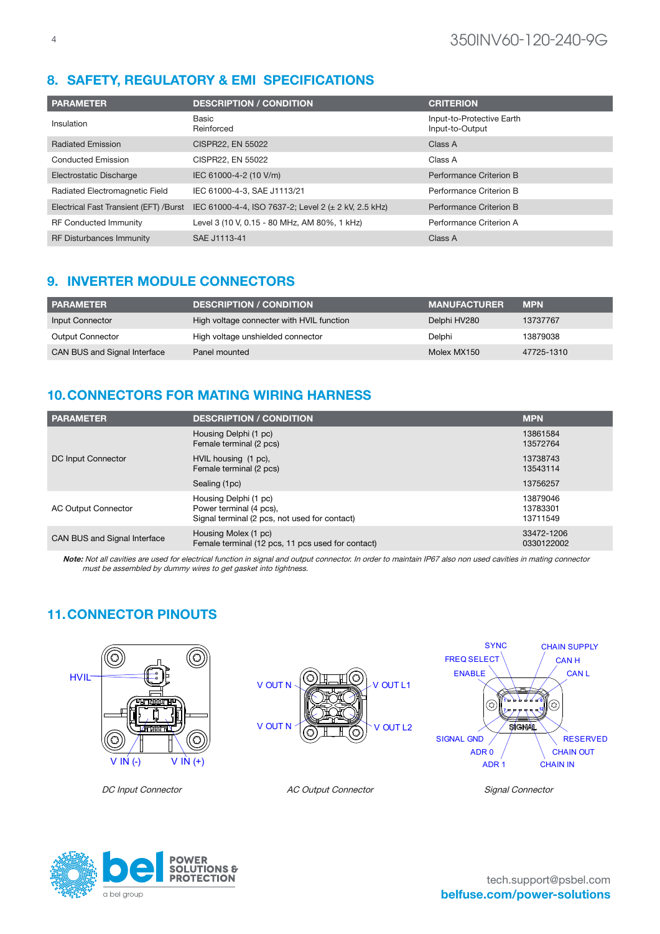# 8. SAFETY, REGULATORY & EMI SPECIFICATIONS

| <b>PARAMETER</b>                       | <b>DESCRIPTION / CONDITION</b>                       | <b>CRITERION</b>                             |
|----------------------------------------|------------------------------------------------------|----------------------------------------------|
| Insulation                             | Basic<br>Reinforced                                  | Input-to-Protective Earth<br>Input-to-Output |
| <b>Radiated Emission</b>               | CISPR22, EN 55022                                    | Class A                                      |
| <b>Conducted Emission</b>              | CISPR22, EN 55022                                    | Class A                                      |
| Electrostatic Discharge                | IEC 61000-4-2 (10 V/m)                               | Performance Criterion B                      |
| Radiated Electromagnetic Field         | IEC 61000-4-3, SAE J1113/21                          | Performance Criterion B                      |
| Electrical Fast Transient (EFT) /Burst | IEC 61000-4-4, ISO 7637-2; Level 2 (± 2 kV, 2.5 kHz) | Performance Criterion B                      |
| <b>RF Conducted Immunity</b>           | Level 3 (10 V, 0.15 - 80 MHz, AM 80%, 1 kHz)         | Performance Criterion A                      |
| <b>RF Disturbances Immunity</b>        | SAE J1113-41                                         | Class A                                      |

## 9. INVERTER MODULE CONNECTORS

| <b>PARAMETER</b>             | <b>DESCRIPTION / CONDITION</b>            | <b>MANUFACTURER</b> | <b>MPN</b> |
|------------------------------|-------------------------------------------|---------------------|------------|
| Input Connector              | High voltage connecter with HVIL function | Delphi HV280        | 13737767   |
| <b>Output Connector</b>      | High voltage unshielded connector         | Delphi              | 13879038   |
| CAN BUS and Signal Interface | Panel mounted                             | Molex MX150         | 47725-1310 |

# 10.CONNECTORS FOR MATING WIRING HARNESS

| <b>PARAMETER</b>             | <b>DESCRIPTION / CONDITION</b>                                                                    | <b>MPN</b>                       |
|------------------------------|---------------------------------------------------------------------------------------------------|----------------------------------|
|                              | Housing Delphi (1 pc)<br>Female terminal (2 pcs)                                                  | 13861584<br>13572764             |
| DC Input Connector           | HVIL housing (1 pc),<br>Female terminal (2 pcs)                                                   | 13738743<br>13543114             |
|                              | Sealing (1pc)                                                                                     | 13756257                         |
| <b>AC Output Connector</b>   | Housing Delphi (1 pc)<br>Power terminal (4 pcs),<br>Signal terminal (2 pcs, not used for contact) | 13879046<br>13783301<br>13711549 |
| CAN BUS and Signal Interface | Housing Molex (1 pc)<br>Female terminal (12 pcs, 11 pcs used for contact)                         | 33472-1206<br>0330122002         |

Note: Not all cavities are used for electrical function in signal and output connector. In order to maintain IP67 also non used cavities in mating connector must be assembled by dummy wires to get gasket into tightness.

# 11.CONNECTOR PINOUTS







DC Input Connector AC Output Connector Signal Connector

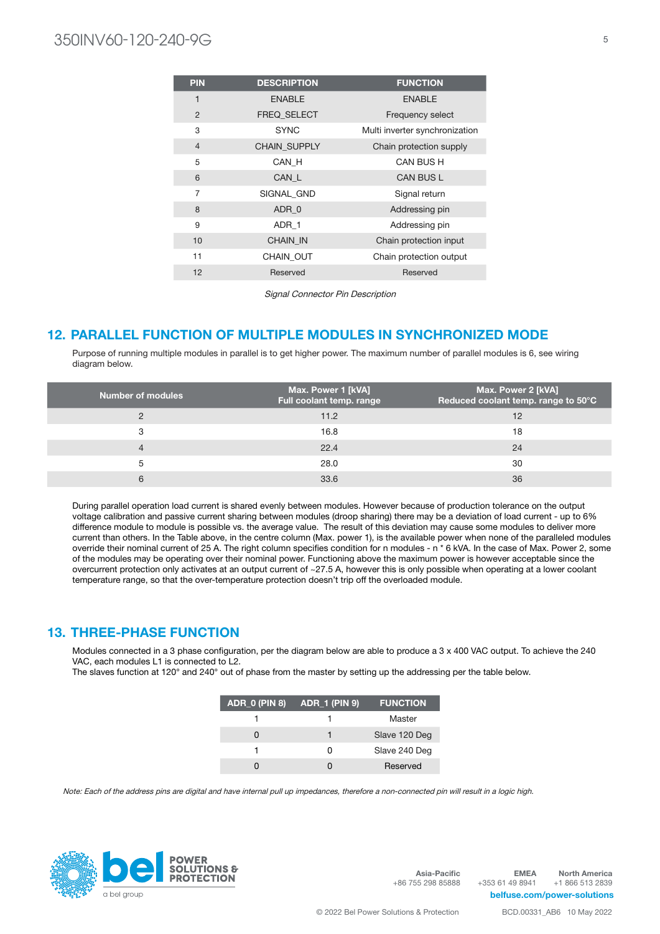# 350INV60-120-240-9G <sup>5</sup>

| <b>PIN</b>     | <b>DESCRIPTION</b> | <b>FUNCTION</b>                |
|----------------|--------------------|--------------------------------|
| 1              | <b>ENABLE</b>      | <b>ENABLE</b>                  |
| $\overline{2}$ | <b>FREQ SELECT</b> | Frequency select               |
| 3              | <b>SYNC</b>        | Multi inverter synchronization |
| $\overline{4}$ | CHAIN_SUPPLY       | Chain protection supply        |
| 5              | CAN H              | CAN BUS H                      |
| 6              | CAN_L              | <b>CAN BUS L</b>               |
| $\overline{7}$ | SIGNAL GND         | Signal return                  |
| 8              | ADR 0              | Addressing pin                 |
| 9              | ADR 1              | Addressing pin                 |
| 10             | <b>CHAIN IN</b>    | Chain protection input         |
| 11             | <b>CHAIN OUT</b>   | Chain protection output        |
| 12             | Reserved           | Reserved                       |

Signal Connector Pin Description

### 12. PARALLEL FUNCTION OF MULTIPLE MODULES IN SYNCHRONIZED MODE

Purpose of running multiple modules in parallel is to get higher power. The maximum number of parallel modules is 6, see wiring diagram below.

| <b>Number of modules</b> | Max. Power 1 [kVA]<br>Full coolant temp. range | Max. Power 2 [kVA]<br>Reduced coolant temp. range to 50°C |
|--------------------------|------------------------------------------------|-----------------------------------------------------------|
|                          | 11.2                                           | 12                                                        |
| 3                        | 16.8                                           | 18                                                        |
| 4                        | 22.4                                           | 24                                                        |
| 5                        | 28.0                                           | 30                                                        |
| 6                        | 33.6                                           | 36                                                        |

During parallel operation load current is shared evenly between modules. However because of production tolerance on the output voltage calibration and passive current sharing between modules (droop sharing) there may be a deviation of load current - up to 6% difference module to module is possible vs. the average value. The result of this deviation may cause some modules to deliver more current than others. In the Table above, in the centre column (Max. power 1), is the available power when none of the paralleled modules override their nominal current of 25 A. The right column specifies condition for n modules - n \* 6 kVA. In the case of Max. Power 2, some of the modules may be operating over their nominal power. Functioning above the maximum power is however acceptable since the overcurrent protection only activates at an output current of ~27.5 A, however this is only possible when operating at a lower coolant temperature range, so that the over-temperature protection doesn't trip off the overloaded module.

### 13. THREE-PHASE FUNCTION

Modules connected in a 3 phase configuration, per the diagram below are able to produce a 3 x 400 VAC output. To achieve the 240 VAC, each modules L1 is connected to L2.

The slaves function at 120° and 240° out of phase from the master by setting up the addressing per the table below.

| $ADR_0$ (PIN 8) | <b>ADR_1 (PIN 9)</b> | <b>FUNCTION</b> |
|-----------------|----------------------|-----------------|
|                 |                      | Master          |
|                 |                      | Slave 120 Deg   |
|                 | n                    | Slave 240 Deg   |
|                 |                      | Reserved        |

Note: Each of the address pins are digital and have internal pull up impedances, therefore a non-connected pin will result in a logic high.



Asia-Pacific +86 755 298 85888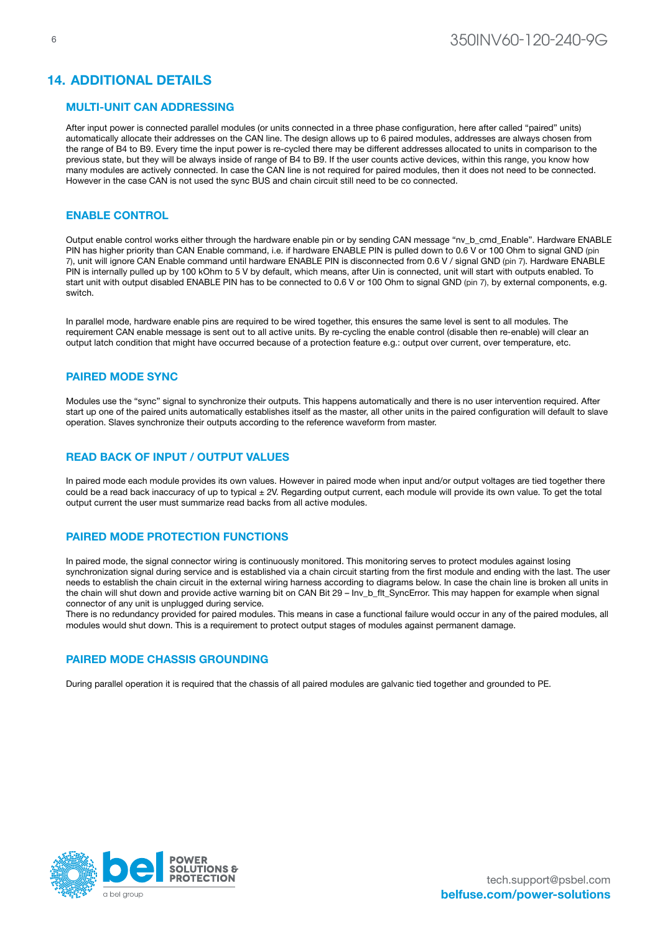### 14. ADDITIONAL DETAILS

#### MULTI-UNIT CAN ADDRESSING

After input power is connected parallel modules (or units connected in a three phase configuration, here after called "paired" units) automatically allocate their addresses on the CAN line. The design allows up to 6 paired modules, addresses are always chosen from the range of B4 to B9. Every time the input power is re-cycled there may be different addresses allocated to units in comparison to the previous state, but they will be always inside of range of B4 to B9. If the user counts active devices, within this range, you know how many modules are actively connected. In case the CAN line is not required for paired modules, then it does not need to be connected. However in the case CAN is not used the sync BUS and chain circuit still need to be co connected.

### ENABLE CONTROL

Output enable control works either through the hardware enable pin or by sending CAN message "nv\_b\_cmd\_Enable". Hardware ENABLE PIN has higher priority than CAN Enable command, i.e. if hardware ENABLE PIN is pulled down to 0.6 V or 100 Ohm to signal GND (pin 7), unit will ignore CAN Enable command until hardware ENABLE PIN is disconnected from 0.6 V / signal GND (pin 7). Hardware ENABLE PIN is internally pulled up by 100 kOhm to 5 V by default, which means, after Uin is connected, unit will start with outputs enabled. To start unit with output disabled ENABLE PIN has to be connected to 0.6 V or 100 Ohm to signal GND (pin 7), by external components, e.g. switch.

In parallel mode, hardware enable pins are required to be wired together, this ensures the same level is sent to all modules. The requirement CAN enable message is sent out to all active units. By re-cycling the enable control (disable then re-enable) will clear an output latch condition that might have occurred because of a protection feature e.g.: output over current, over temperature, etc.

#### PAIRED MODE SYNC

Modules use the "sync" signal to synchronize their outputs. This happens automatically and there is no user intervention required. After start up one of the paired units automatically establishes itself as the master, all other units in the paired configuration will default to slave operation. Slaves synchronize their outputs according to the reference waveform from master.

#### READ BACK OF INPUT / OUTPUT VALUES

In paired mode each module provides its own values. However in paired mode when input and/or output voltages are tied together there could be a read back inaccuracy of up to typical ± 2V. Regarding output current, each module will provide its own value. To get the total output current the user must summarize read backs from all active modules.

#### PAIRED MODE PROTECTION FUNCTIONS

In paired mode, the signal connector wiring is continuously monitored. This monitoring serves to protect modules against losing synchronization signal during service and is established via a chain circuit starting from the first module and ending with the last. The user needs to establish the chain circuit in the external wiring harness according to diagrams below. In case the chain line is broken all units in the chain will shut down and provide active warning bit on CAN Bit 29 – Inv\_b\_flt\_SyncError. This may happen for example when signal connector of any unit is unplugged during service.

There is no redundancy provided for paired modules. This means in case a functional failure would occur in any of the paired modules, all modules would shut down. This is a requirement to protect output stages of modules against permanent damage.

### PAIRED MODE CHASSIS GROUNDING

During parallel operation it is required that the chassis of all paired modules are galvanic tied together and grounded to PE.

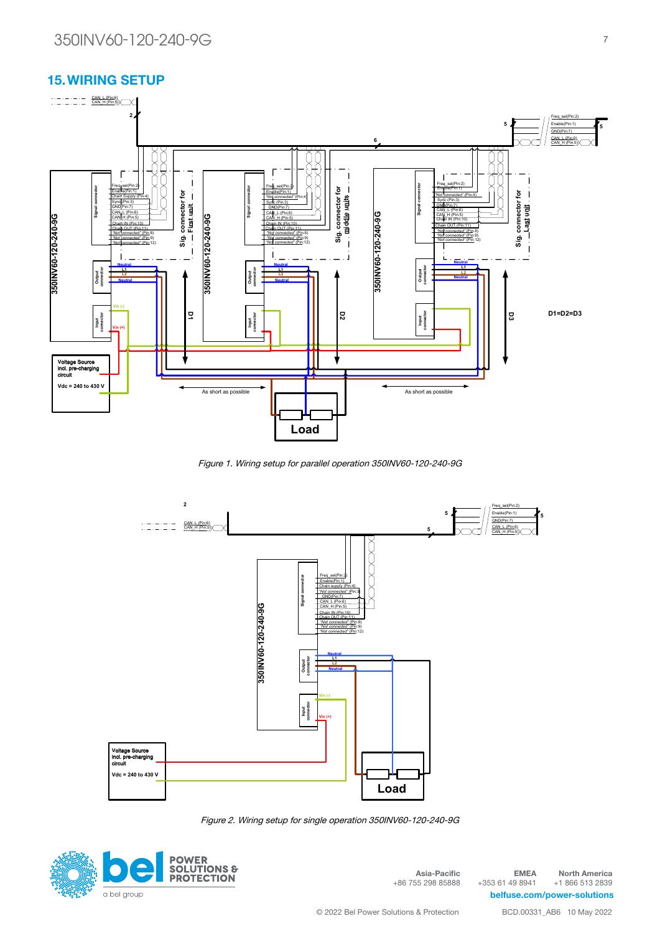### 15.WIRING SETUP



Figure 1. Wiring setup for parallel operation 350INV60-120-240-9G **350INV60-120-240-9G**



Figure 2. Wiring setup for single operation 350INV60-120-240-9G



Asia-Pacific +86 755 298 85888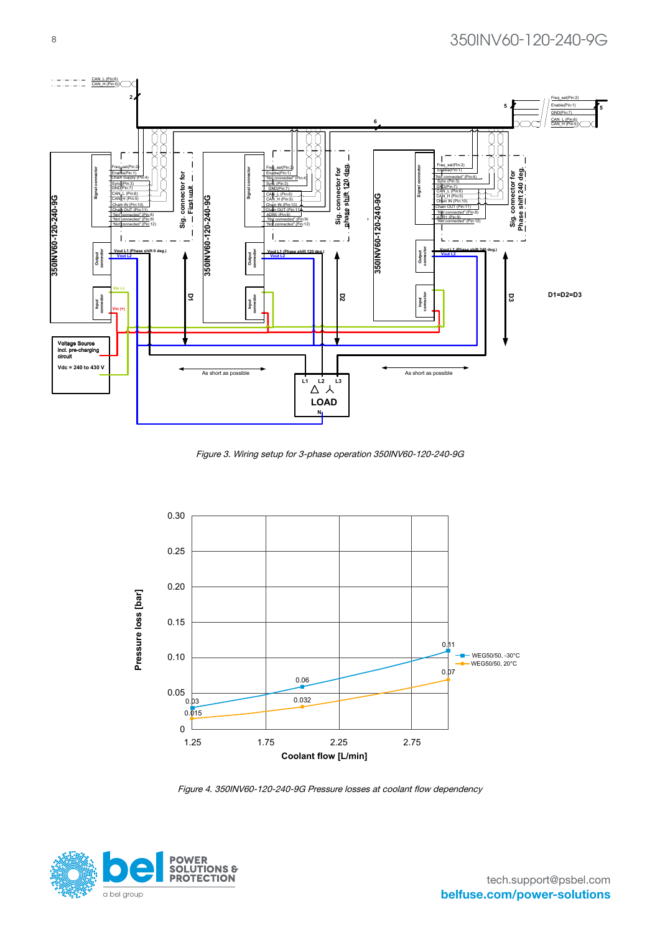

**Wiring schematic for three phase units ver.: 1.0**

Figure 3. Wiring setup for 3-phase operation 350INV60-120-240-9G



Figure 4. 350INV60-120-240-9G Pressure losses at coolant flow dependency

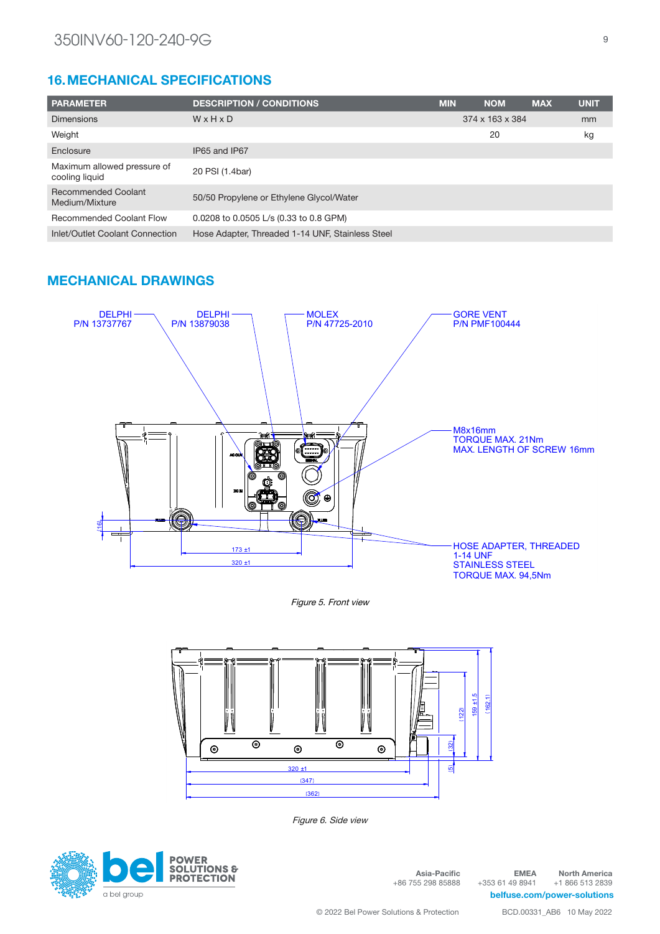# 16.MECHANICAL SPECIFICATIONS

| <b>PARAMETER</b>                              | <b>DESCRIPTION / CONDITIONS</b>                  | <b>MIN</b>                  | <b>NOM</b> | <b>MAX</b> | <b>UNIT</b> |
|-----------------------------------------------|--------------------------------------------------|-----------------------------|------------|------------|-------------|
| <b>Dimensions</b>                             | WxHxD                                            | $374 \times 163 \times 384$ |            | mm         |             |
| Weight                                        |                                                  |                             | 20         |            | kg          |
| Enclosure                                     | IP65 and IP67                                    |                             |            |            |             |
| Maximum allowed pressure of<br>cooling liquid | 20 PSI (1.4bar)                                  |                             |            |            |             |
| <b>Recommended Coolant</b><br>Medium/Mixture  | 50/50 Propylene or Ethylene Glycol/Water         |                             |            |            |             |
| <b>Recommended Coolant Flow</b>               | 0.0208 to 0.0505 L/s (0.33 to 0.8 GPM)           |                             |            |            |             |
| Inlet/Outlet Coolant Connection               | Hose Adapter, Threaded 1-14 UNF, Stainless Steel |                             |            |            |             |

### MECHANICAL DRAWINGS



Figure 5. Front view



Figure 6. Side view



Asia-Pacific +86 755 298 85888